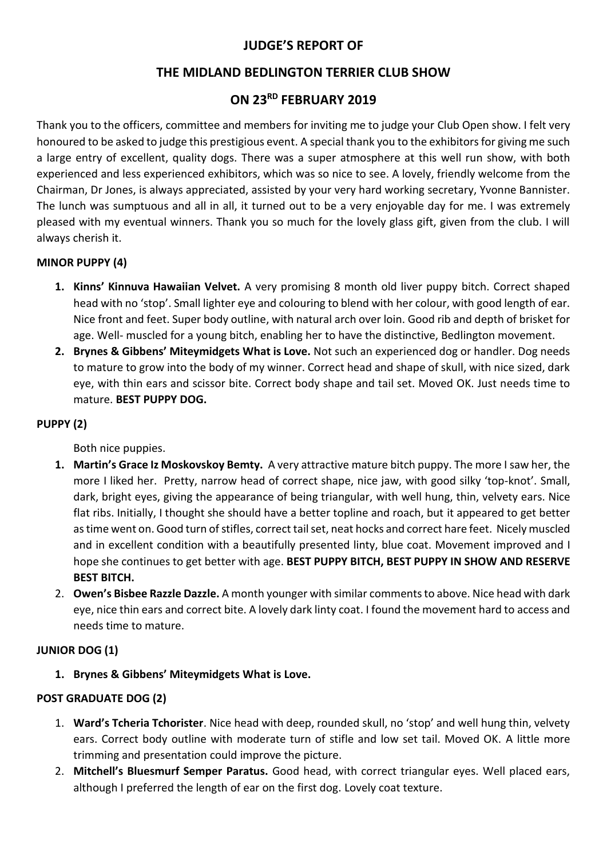# **JUDGE'S REPORT OF**

# **THE MIDLAND BEDLINGTON TERRIER CLUB SHOW**

# **ON 23RD FEBRUARY 2019**

Thank you to the officers, committee and members for inviting me to judge your Club Open show. I felt very honoured to be asked to judge this prestigious event. A special thank you to the exhibitors for giving me such a large entry of excellent, quality dogs. There was a super atmosphere at this well run show, with both experienced and less experienced exhibitors, which was so nice to see. A lovely, friendly welcome from the Chairman, Dr Jones, is always appreciated, assisted by your very hard working secretary, Yvonne Bannister. The lunch was sumptuous and all in all, it turned out to be a very enjoyable day for me. I was extremely pleased with my eventual winners. Thank you so much for the lovely glass gift, given from the club. I will always cherish it.

## **MINOR PUPPY (4)**

- **1. Kinns' Kinnuva Hawaiian Velvet.** A very promising 8 month old liver puppy bitch. Correct shaped head with no 'stop'. Small lighter eye and colouring to blend with her colour, with good length of ear. Nice front and feet. Super body outline, with natural arch over loin. Good rib and depth of brisket for age. Well- muscled for a young bitch, enabling her to have the distinctive, Bedlington movement.
- **2. Brynes & Gibbens' Miteymidgets What is Love.** Not such an experienced dog or handler. Dog needs to mature to grow into the body of my winner. Correct head and shape of skull, with nice sized, dark eye, with thin ears and scissor bite. Correct body shape and tail set. Moved OK. Just needs time to mature. **BEST PUPPY DOG.**

### **PUPPY (2)**

Both nice puppies.

- **1. Martin's Grace Iz Moskovskoy Bemty.** A very attractive mature bitch puppy. The more I saw her, the more I liked her. Pretty, narrow head of correct shape, nice jaw, with good silky 'top-knot'. Small, dark, bright eyes, giving the appearance of being triangular, with well hung, thin, velvety ears. Nice flat ribs. Initially, I thought she should have a better topline and roach, but it appeared to get better as time went on. Good turn of stifles, correct tail set, neat hocks and correct hare feet. Nicely muscled and in excellent condition with a beautifully presented linty, blue coat. Movement improved and I hope she continues to get better with age. **BEST PUPPY BITCH, BEST PUPPY IN SHOW AND RESERVE BEST BITCH.**
- 2. **Owen's Bisbee Razzle Dazzle.** A month younger with similar comments to above. Nice head with dark eye, nice thin ears and correct bite. A lovely dark linty coat. I found the movement hard to access and needs time to mature.

### **JUNIOR DOG (1)**

**1. Brynes & Gibbens' Miteymidgets What is Love.** 

## **POST GRADUATE DOG (2)**

- 1. **Ward's Tcheria Tchorister**. Nice head with deep, rounded skull, no 'stop' and well hung thin, velvety ears. Correct body outline with moderate turn of stifle and low set tail. Moved OK. A little more trimming and presentation could improve the picture.
- 2. **Mitchell's Bluesmurf Semper Paratus.** Good head, with correct triangular eyes. Well placed ears, although I preferred the length of ear on the first dog. Lovely coat texture.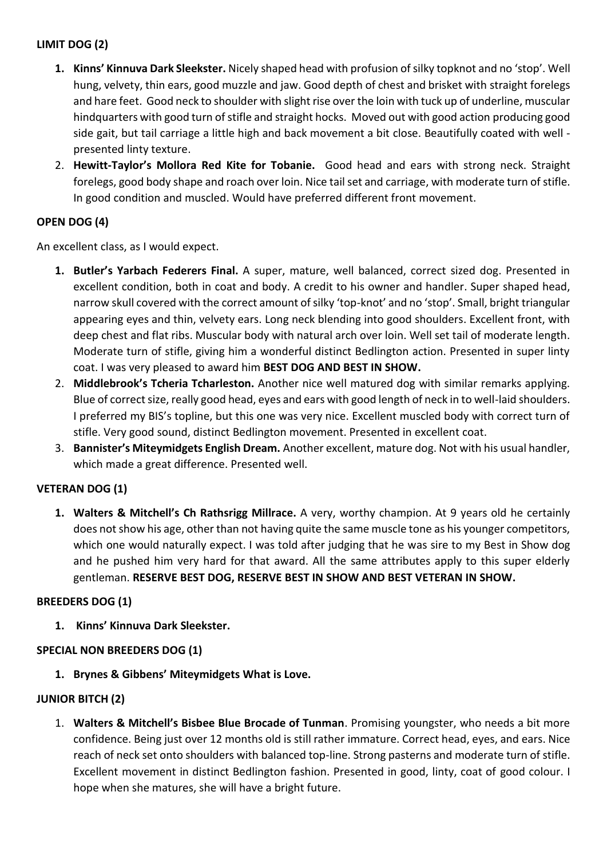## **LIMIT DOG (2)**

- **1. Kinns' Kinnuva Dark Sleekster.** Nicely shaped head with profusion of silky topknot and no 'stop'. Well hung, velvety, thin ears, good muzzle and jaw. Good depth of chest and brisket with straight forelegs and hare feet. Good neck to shoulder with slight rise over the loin with tuck up of underline, muscular hindquarters with good turn of stifle and straight hocks. Moved out with good action producing good side gait, but tail carriage a little high and back movement a bit close. Beautifully coated with well presented linty texture.
- 2. **Hewitt-Taylor's Mollora Red Kite for Tobanie.** Good head and ears with strong neck. Straight forelegs, good body shape and roach over loin. Nice tail set and carriage, with moderate turn of stifle. In good condition and muscled. Would have preferred different front movement.

## **OPEN DOG (4)**

An excellent class, as I would expect.

- **1. Butler's Yarbach Federers Final.** A super, mature, well balanced, correct sized dog. Presented in excellent condition, both in coat and body. A credit to his owner and handler. Super shaped head, narrow skull covered with the correct amount of silky 'top-knot' and no 'stop'. Small, bright triangular appearing eyes and thin, velvety ears. Long neck blending into good shoulders. Excellent front, with deep chest and flat ribs. Muscular body with natural arch over loin. Well set tail of moderate length. Moderate turn of stifle, giving him a wonderful distinct Bedlington action. Presented in super linty coat. I was very pleased to award him **BEST DOG AND BEST IN SHOW.**
- 2. **Middlebrook's Tcheria Tcharleston.** Another nice well matured dog with similar remarks applying. Blue of correct size, really good head, eyes and ears with good length of neck in to well-laid shoulders. I preferred my BIS's topline, but this one was very nice. Excellent muscled body with correct turn of stifle. Very good sound, distinct Bedlington movement. Presented in excellent coat.
- 3. **Bannister's Miteymidgets English Dream.** Another excellent, mature dog. Not with his usual handler, which made a great difference. Presented well.

## **VETERAN DOG (1)**

**1. Walters & Mitchell's Ch Rathsrigg Millrace.** A very, worthy champion. At 9 years old he certainly does not show his age, other than not having quite the same muscle tone as his younger competitors, which one would naturally expect. I was told after judging that he was sire to my Best in Show dog and he pushed him very hard for that award. All the same attributes apply to this super elderly gentleman. **RESERVE BEST DOG, RESERVE BEST IN SHOW AND BEST VETERAN IN SHOW.**

### **BREEDERS DOG (1)**

**1. Kinns' Kinnuva Dark Sleekster.**

## **SPECIAL NON BREEDERS DOG (1)**

**1. Brynes & Gibbens' Miteymidgets What is Love.**

### **JUNIOR BITCH (2)**

1. **Walters & Mitchell's Bisbee Blue Brocade of Tunman**. Promising youngster, who needs a bit more confidence. Being just over 12 months old is still rather immature. Correct head, eyes, and ears. Nice reach of neck set onto shoulders with balanced top-line. Strong pasterns and moderate turn of stifle. Excellent movement in distinct Bedlington fashion. Presented in good, linty, coat of good colour. I hope when she matures, she will have a bright future.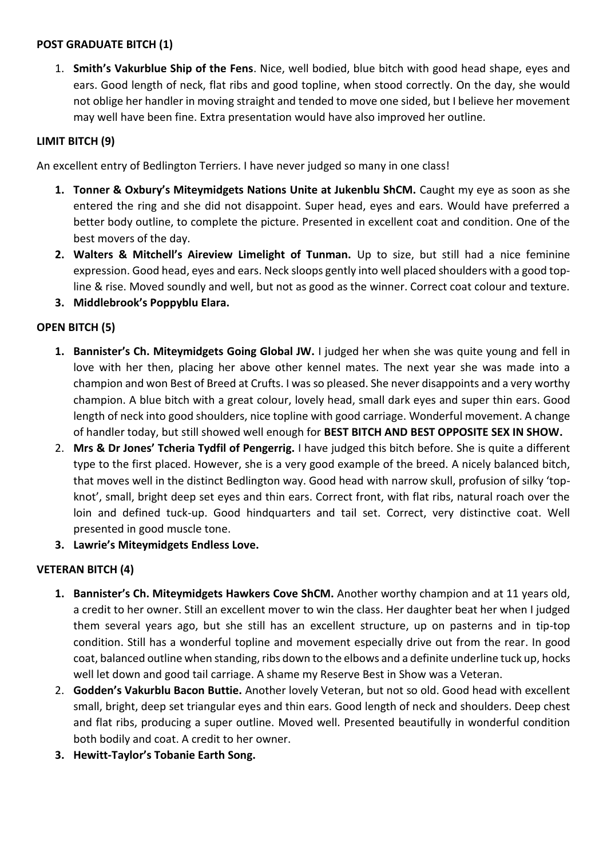#### **POST GRADUATE BITCH (1)**

1. **Smith's Vakurblue Ship of the Fens**. Nice, well bodied, blue bitch with good head shape, eyes and ears. Good length of neck, flat ribs and good topline, when stood correctly. On the day, she would not oblige her handler in moving straight and tended to move one sided, but I believe her movement may well have been fine. Extra presentation would have also improved her outline.

#### **LIMIT BITCH (9)**

An excellent entry of Bedlington Terriers. I have never judged so many in one class!

- **1. Tonner & Oxbury's Miteymidgets Nations Unite at Jukenblu ShCM.** Caught my eye as soon as she entered the ring and she did not disappoint. Super head, eyes and ears. Would have preferred a better body outline, to complete the picture. Presented in excellent coat and condition. One of the best movers of the day.
- **2. Walters & Mitchell's Aireview Limelight of Tunman.** Up to size, but still had a nice feminine expression. Good head, eyes and ears. Neck sloops gently into well placed shoulders with a good topline & rise. Moved soundly and well, but not as good as the winner. Correct coat colour and texture.
- **3. Middlebrook's Poppyblu Elara.**

### **OPEN BITCH (5)**

- **1. Bannister's Ch. Miteymidgets Going Global JW.** I judged her when she was quite young and fell in love with her then, placing her above other kennel mates. The next year she was made into a champion and won Best of Breed at Crufts. I was so pleased. She never disappoints and a very worthy champion. A blue bitch with a great colour, lovely head, small dark eyes and super thin ears. Good length of neck into good shoulders, nice topline with good carriage. Wonderful movement. A change of handler today, but still showed well enough for **BEST BITCH AND BEST OPPOSITE SEX IN SHOW.**
- 2. **Mrs & Dr Jones' Tcheria Tydfil of Pengerrig.** I have judged this bitch before. She is quite a different type to the first placed. However, she is a very good example of the breed. A nicely balanced bitch, that moves well in the distinct Bedlington way. Good head with narrow skull, profusion of silky 'topknot', small, bright deep set eyes and thin ears. Correct front, with flat ribs, natural roach over the loin and defined tuck-up. Good hindquarters and tail set. Correct, very distinctive coat. Well presented in good muscle tone.
- **3. Lawrie's Miteymidgets Endless Love.**

### **VETERAN BITCH (4)**

- **1. Bannister's Ch. Miteymidgets Hawkers Cove ShCM.** Another worthy champion and at 11 years old, a credit to her owner. Still an excellent mover to win the class. Her daughter beat her when I judged them several years ago, but she still has an excellent structure, up on pasterns and in tip-top condition. Still has a wonderful topline and movement especially drive out from the rear. In good coat, balanced outline when standing, ribs down to the elbows and a definite underline tuck up, hocks well let down and good tail carriage. A shame my Reserve Best in Show was a Veteran.
- 2. **Godden's Vakurblu Bacon Buttie.** Another lovely Veteran, but not so old. Good head with excellent small, bright, deep set triangular eyes and thin ears. Good length of neck and shoulders. Deep chest and flat ribs, producing a super outline. Moved well. Presented beautifully in wonderful condition both bodily and coat. A credit to her owner.
- **3. Hewitt-Taylor's Tobanie Earth Song.**